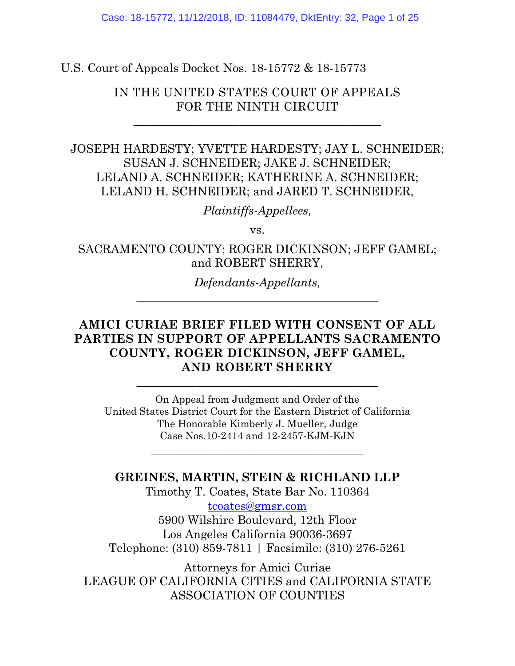U.S. Court of Appeals Docket Nos. 18-15772 & 18-15773

IN THE UNITED STATES COURT OF APPEALS FOR THE NINTH CIRCUIT

\_\_\_\_\_\_\_\_\_\_\_\_\_\_\_\_\_\_\_\_\_\_\_\_\_\_\_\_\_\_\_\_\_\_\_\_\_\_\_\_\_\_

JOSEPH HARDESTY; YVETTE HARDESTY; JAY L. SCHNEIDER; SUSAN J. SCHNEIDER; JAKE J. SCHNEIDER; LELAND A. SCHNEIDER; KATHERINE A. SCHNEIDER; LELAND H. SCHNEIDER; and JARED T. SCHNEIDER,

*Plaintiffs-Appellees,*

vs.

SACRAMENTO COUNTY; ROGER DICKINSON; JEFF GAMEL; and ROBERT SHERRY,

> *Defendants-Appellants,*  $\overline{\phantom{a}}$  , and the set of the set of the set of the set of the set of the set of the set of the set of the set of the set of the set of the set of the set of the set of the set of the set of the set of the set of the s

### **AMICI CURIAE BRIEF FILED WITH CONSENT OF ALL PARTIES IN SUPPORT OF APPELLANTS SACRAMENTO COUNTY, ROGER DICKINSON, JEFF GAMEL, AND ROBERT SHERRY**

On Appeal from Judgment and Order of the United States District Court for the Eastern District of California The Honorable Kimberly J. Mueller, Judge Case Nos.10-2414 and 12-2457-KJM-KJN

\_\_\_\_\_\_\_\_\_\_\_\_\_\_\_\_\_\_\_\_\_\_\_\_\_\_\_\_\_\_\_\_\_\_\_\_

 $\frac{1}{2}$  , and the set of the set of the set of the set of the set of the set of the set of the set of the set of the set of the set of the set of the set of the set of the set of the set of the set of the set of the set

**GREINES, MARTIN, STEIN & RICHLAND LLP** Timothy T. Coates, State Bar No. 110364 [tcoates@gmsr.com](mailto:tcoates@gmsr.com) 5900 Wilshire Boulevard, 12th Floor Los Angeles California 90036-3697

Telephone: (310) 859-7811 | Facsimile: (310) 276-5261

Attorneys for Amici Curiae LEAGUE OF CALIFORNIA CITIES and CALIFORNIA STATE ASSOCIATION OF COUNTIES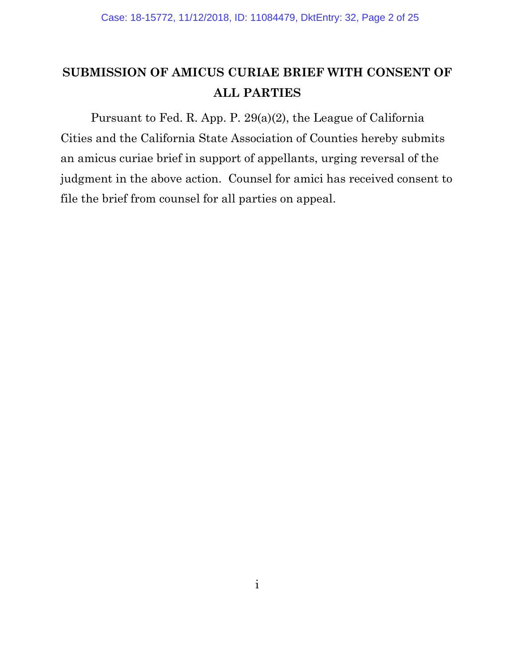## <span id="page-1-0"></span>**SUBMISSION OF AMICUS CURIAE BRIEF WITH CONSENT OF ALL PARTIES**

Pursuant to Fed. R. App. P. 29(a)(2), the League of California Cities and the California State Association of Counties hereby submits an amicus curiae brief in support of appellants, urging reversal of the judgment in the above action. Counsel for amici has received consent to file the brief from counsel for all parties on appeal.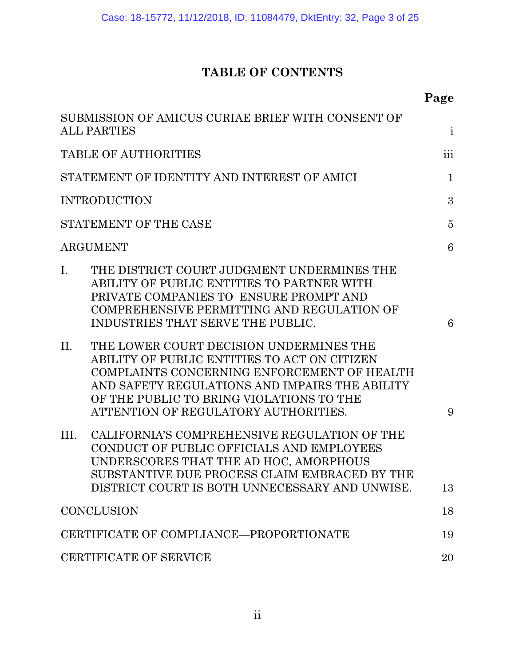## **TABLE OF CONTENTS**

|                                                                                                                                                                                                                                                                                     | Page           |
|-------------------------------------------------------------------------------------------------------------------------------------------------------------------------------------------------------------------------------------------------------------------------------------|----------------|
| SUBMISSION OF AMICUS CURIAE BRIEF WITH CONSENT OF<br><b>ALL PARTIES</b>                                                                                                                                                                                                             | $\mathbf{i}$   |
| <b>TABLE OF AUTHORITIES</b>                                                                                                                                                                                                                                                         | iii            |
| STATEMENT OF IDENTITY AND INTEREST OF AMICI                                                                                                                                                                                                                                         | $\mathbf{1}$   |
| <b>INTRODUCTION</b>                                                                                                                                                                                                                                                                 | 3              |
| STATEMENT OF THE CASE                                                                                                                                                                                                                                                               | $\overline{5}$ |
| <b>ARGUMENT</b>                                                                                                                                                                                                                                                                     | 6              |
| THE DISTRICT COURT JUDGMENT UNDERMINES THE<br>$\mathbf{I}$ .<br>ABILITY OF PUBLIC ENTITIES TO PARTNER WITH<br>PRIVATE COMPANIES TO ENSURE PROMPT AND<br>COMPREHENSIVE PERMITTING AND REGULATION OF<br>INDUSTRIES THAT SERVE THE PUBLIC.                                             | 6              |
| THE LOWER COURT DECISION UNDERMINES THE<br>II.<br>ABILITY OF PUBLIC ENTITIES TO ACT ON CITIZEN<br>COMPLAINTS CONCERNING ENFORCEMENT OF HEALTH<br>AND SAFETY REGULATIONS AND IMPAIRS THE ABILITY<br>OF THE PUBLIC TO BRING VIOLATIONS TO THE<br>ATTENTION OF REGULATORY AUTHORITIES. | 9              |
| CALIFORNIA'S COMPREHENSIVE REGULATION OF THE<br>III.<br>CONDUCT OF PUBLIC OFFICIALS AND EMPLOYEES<br>UNDERSCORES THAT THE AD HOC, AMORPHOUS<br>SUBSTANTIVE DUE PROCESS CLAIM EMBRACED BY THE<br>DISTRICT COURT IS BOTH UNNECESSARY AND UNWISE.                                      | 13             |
| <b>CONCLUSION</b>                                                                                                                                                                                                                                                                   | 18             |
| CERTIFICATE OF COMPLIANCE-PROPORTIONATE                                                                                                                                                                                                                                             | 19             |
| CERTIFICATE OF SERVICE                                                                                                                                                                                                                                                              | 20             |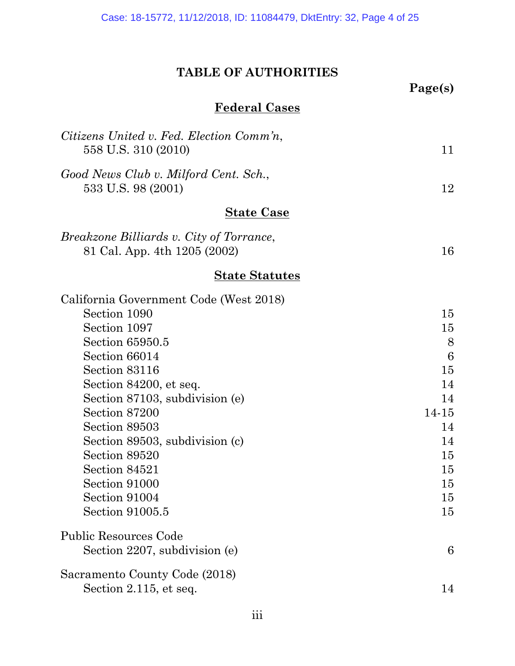### **TABLE OF AUTHORITIES**

<span id="page-3-0"></span>

|                                                                                 | Page(s) |
|---------------------------------------------------------------------------------|---------|
| <b>Federal Cases</b>                                                            |         |
| Citizens United v. Fed. Election Comm'n,<br>558 U.S. 310 (2010)                 | 11      |
| Good News Club v. Milford Cent. Sch.,<br>533 U.S. 98 (2001)                     | 12      |
| <u>State Case</u>                                                               |         |
| <i>Breakzone Billiards v. City of Torrance,</i><br>81 Cal. App. 4th 1205 (2002) | 16      |
| <u>State Statutes</u>                                                           |         |
| California Government Code (West 2018)                                          |         |
| Section 1090                                                                    | 15      |
| Section 1097                                                                    | 15      |
| Section 65950.5                                                                 | 8       |
| Section 66014                                                                   | 6       |
| Section 83116                                                                   | 15      |
| Section 84200, et seq.                                                          | 14      |
| Section 87103, subdivision (e)                                                  | 14      |
| Section 87200                                                                   | 14-15   |
| Section 89503                                                                   | 14      |
| Section 89503, subdivision (c)                                                  | 14      |
| Section 89520                                                                   | 15      |
| Section 84521                                                                   | 15      |
| Section 91000                                                                   | 15      |
| Section 91004                                                                   | 15      |
| Section 91005.5                                                                 | 15      |
| <b>Public Resources Code</b>                                                    |         |
| Section 2207, subdivision (e)                                                   | 6       |
| Sacramento County Code (2018)                                                   |         |
| Section 2.115, et seq.                                                          | 14      |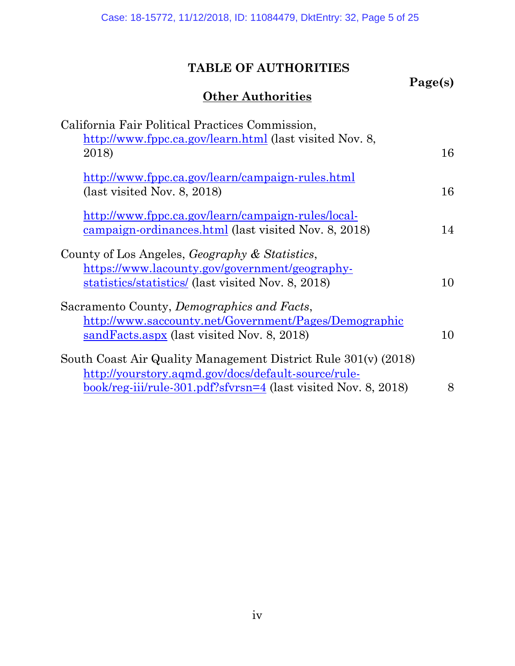## **TABLE OF AUTHORITIES**

**Page(s)**

## **Other Authorities**

| California Fair Political Practices Commission,<br>http://www.fppc.ca.gov/learn.html (last visited Nov. 8, |    |
|------------------------------------------------------------------------------------------------------------|----|
| 2018)                                                                                                      | 16 |
| http://www.fppc.ca.gov/learn/campaign-rules.html                                                           |    |
| $\text{(last visited Nov. 8, 2018)}$                                                                       | 16 |
| http://www.fppc.ca.gov/learn/campaign-rules/local-                                                         |    |
| campaign-ordinances.html (last visited Nov. 8, 2018)                                                       | 14 |
| County of Los Angeles, <i>Geography &amp; Statistics</i> ,                                                 |    |
| https://www.lacounty.gov/government/geography-                                                             |    |
| statistics/statistics/ (last visited Nov. 8, 2018)                                                         | 10 |
| Sacramento County, Demographics and Facts,                                                                 |    |
| http://www.saccounty.net/Government/Pages/Demographic                                                      |    |
| sandFacts.aspx (last visited Nov. 8, 2018)                                                                 | 10 |
| South Coast Air Quality Management District Rule 301(v) (2018)                                             |    |
| http://yourstory.aqmd.gov/docs/default-source/rule-                                                        |    |
| <u>book/reg-iii/rule-301.pdf?sfvrsn=4</u> (last visited Nov. 8, 2018)                                      | 8  |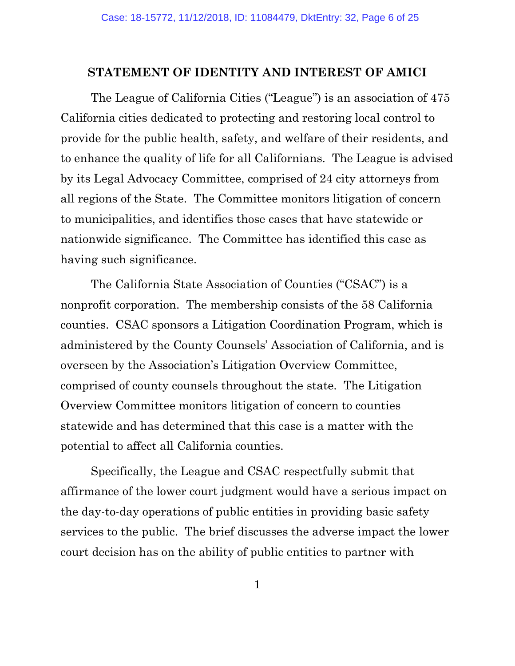#### <span id="page-5-0"></span>**STATEMENT OF IDENTITY AND INTEREST OF AMICI**

The League of California Cities ("League") is an association of 475 California cities dedicated to protecting and restoring local control to provide for the public health, safety, and welfare of their residents, and to enhance the quality of life for all Californians. The League is advised by its Legal Advocacy Committee, comprised of 24 city attorneys from all regions of the State. The Committee monitors litigation of concern to municipalities, and identifies those cases that have statewide or nationwide significance. The Committee has identified this case as having such significance.

The California State Association of Counties ("CSAC") is a nonprofit corporation. The membership consists of the 58 California counties. CSAC sponsors a Litigation Coordination Program, which is administered by the County Counsels' Association of California, and is overseen by the Association's Litigation Overview Committee, comprised of county counsels throughout the state. The Litigation Overview Committee monitors litigation of concern to counties statewide and has determined that this case is a matter with the potential to affect all California counties.

Specifically, the League and CSAC respectfully submit that affirmance of the lower court judgment would have a serious impact on the day-to-day operations of public entities in providing basic safety services to the public. The brief discusses the adverse impact the lower court decision has on the ability of public entities to partner with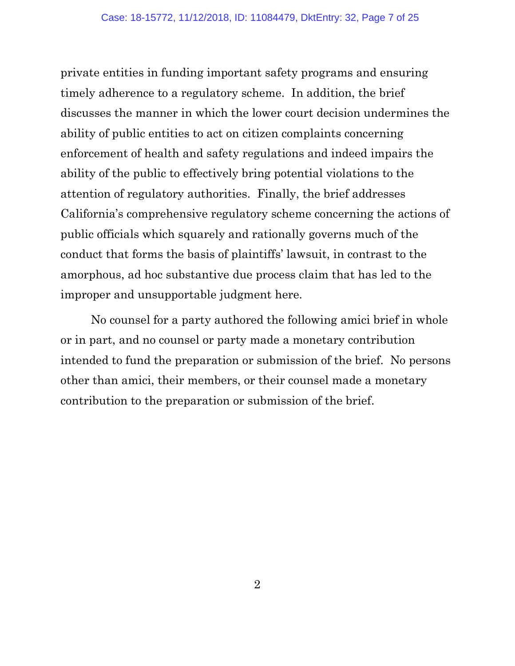private entities in funding important safety programs and ensuring timely adherence to a regulatory scheme. In addition, the brief discusses the manner in which the lower court decision undermines the ability of public entities to act on citizen complaints concerning enforcement of health and safety regulations and indeed impairs the ability of the public to effectively bring potential violations to the attention of regulatory authorities. Finally, the brief addresses California's comprehensive regulatory scheme concerning the actions of public officials which squarely and rationally governs much of the conduct that forms the basis of plaintiffs' lawsuit, in contrast to the amorphous, ad hoc substantive due process claim that has led to the improper and unsupportable judgment here.

No counsel for a party authored the following amici brief in whole or in part, and no counsel or party made a monetary contribution intended to fund the preparation or submission of the brief. No persons other than amici, their members, or their counsel made a monetary contribution to the preparation or submission of the brief.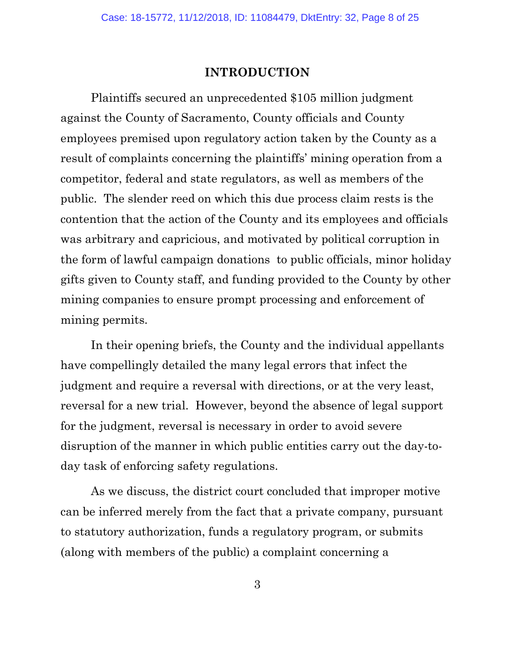#### **INTRODUCTION**

<span id="page-7-0"></span>Plaintiffs secured an unprecedented \$105 million judgment against the County of Sacramento, County officials and County employees premised upon regulatory action taken by the County as a result of complaints concerning the plaintiffs' mining operation from a competitor, federal and state regulators, as well as members of the public. The slender reed on which this due process claim rests is the contention that the action of the County and its employees and officials was arbitrary and capricious, and motivated by political corruption in the form of lawful campaign donations to public officials, minor holiday gifts given to County staff, and funding provided to the County by other mining companies to ensure prompt processing and enforcement of mining permits.

In their opening briefs, the County and the individual appellants have compellingly detailed the many legal errors that infect the judgment and require a reversal with directions, or at the very least, reversal for a new trial. However, beyond the absence of legal support for the judgment, reversal is necessary in order to avoid severe disruption of the manner in which public entities carry out the day-today task of enforcing safety regulations.

As we discuss, the district court concluded that improper motive can be inferred merely from the fact that a private company, pursuant to statutory authorization, funds a regulatory program, or submits (along with members of the public) a complaint concerning a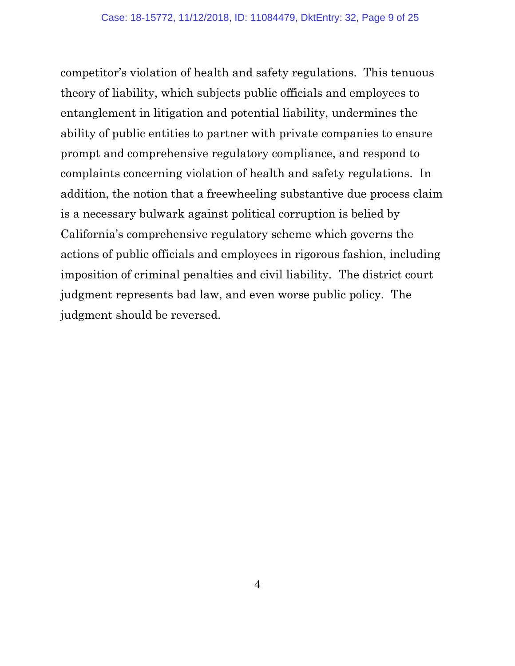competitor's violation of health and safety regulations. This tenuous theory of liability, which subjects public officials and employees to entanglement in litigation and potential liability, undermines the ability of public entities to partner with private companies to ensure prompt and comprehensive regulatory compliance, and respond to complaints concerning violation of health and safety regulations. In addition, the notion that a freewheeling substantive due process claim is a necessary bulwark against political corruption is belied by California's comprehensive regulatory scheme which governs the actions of public officials and employees in rigorous fashion, including imposition of criminal penalties and civil liability. The district court judgment represents bad law, and even worse public policy. The judgment should be reversed.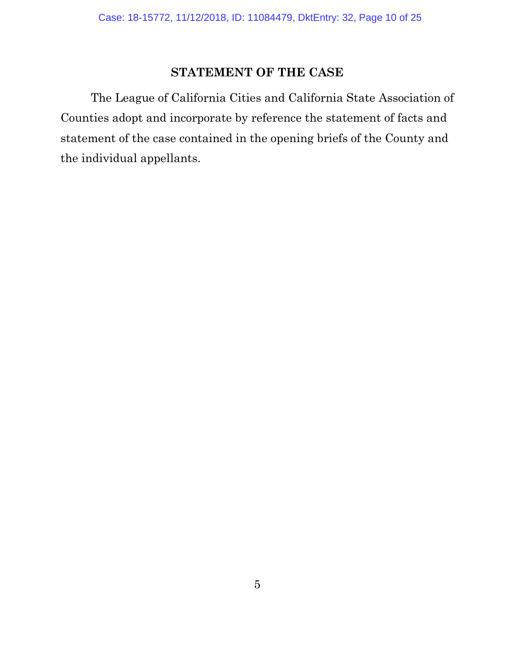### **STATEMENT OF THE CASE**

<span id="page-9-0"></span>The League of California Cities and California State Association of Counties adopt and incorporate by reference the statement of facts and statement of the case contained in the opening briefs of the County and the individual appellants.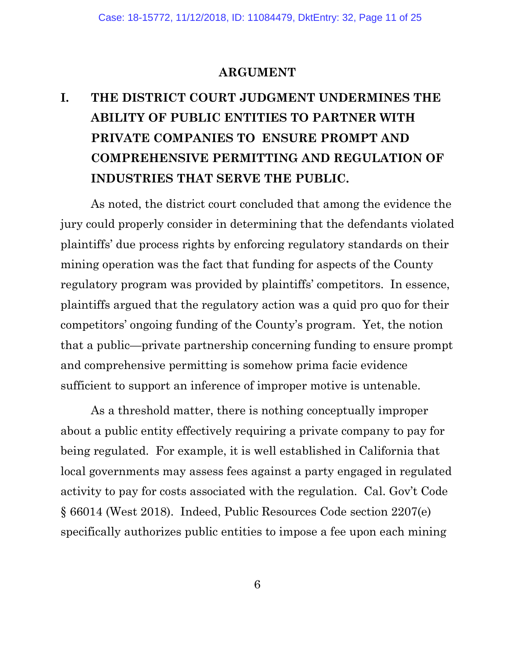#### **ARGUMENT**

# <span id="page-10-1"></span><span id="page-10-0"></span>**I. THE DISTRICT COURT JUDGMENT UNDERMINES THE ABILITY OF PUBLIC ENTITIES TO PARTNER WITH PRIVATE COMPANIES TO ENSURE PROMPT AND COMPREHENSIVE PERMITTING AND REGULATION OF INDUSTRIES THAT SERVE THE PUBLIC.**

As noted, the district court concluded that among the evidence the jury could properly consider in determining that the defendants violated plaintiffs' due process rights by enforcing regulatory standards on their mining operation was the fact that funding for aspects of the County regulatory program was provided by plaintiffs' competitors. In essence, plaintiffs argued that the regulatory action was a quid pro quo for their competitors' ongoing funding of the County's program. Yet, the notion that a public—private partnership concerning funding to ensure prompt and comprehensive permitting is somehow prima facie evidence sufficient to support an inference of improper motive is untenable.

As a threshold matter, there is nothing conceptually improper about a public entity effectively requiring a private company to pay for being regulated. For example, it is well established in California that local governments may assess fees against a party engaged in regulated activity to pay for costs associated with the regulation. Cal. Gov't Code § 66014 (West 2018). Indeed, Public Resources Code section 2207(e) specifically authorizes public entities to impose a fee upon each mining

6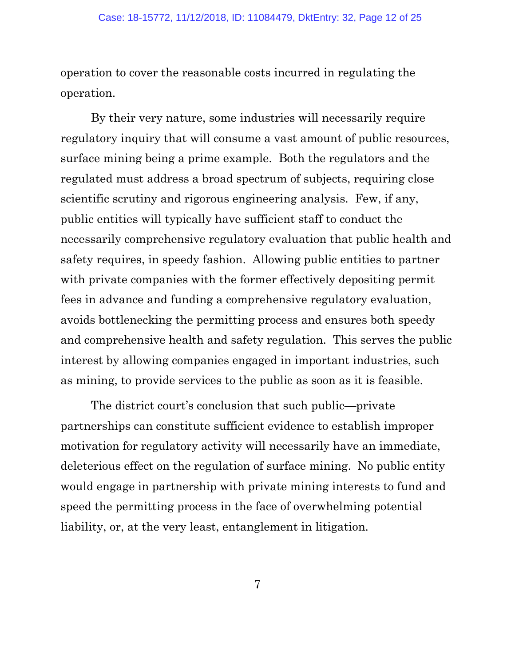operation to cover the reasonable costs incurred in regulating the operation.

By their very nature, some industries will necessarily require regulatory inquiry that will consume a vast amount of public resources, surface mining being a prime example. Both the regulators and the regulated must address a broad spectrum of subjects, requiring close scientific scrutiny and rigorous engineering analysis. Few, if any, public entities will typically have sufficient staff to conduct the necessarily comprehensive regulatory evaluation that public health and safety requires, in speedy fashion. Allowing public entities to partner with private companies with the former effectively depositing permit fees in advance and funding a comprehensive regulatory evaluation, avoids bottlenecking the permitting process and ensures both speedy and comprehensive health and safety regulation. This serves the public interest by allowing companies engaged in important industries, such as mining, to provide services to the public as soon as it is feasible.

The district court's conclusion that such public—private partnerships can constitute sufficient evidence to establish improper motivation for regulatory activity will necessarily have an immediate, deleterious effect on the regulation of surface mining. No public entity would engage in partnership with private mining interests to fund and speed the permitting process in the face of overwhelming potential liability, or, at the very least, entanglement in litigation.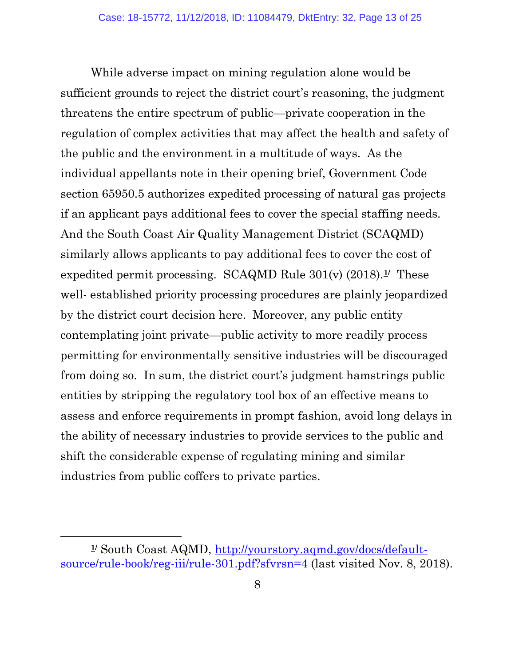While adverse impact on mining regulation alone would be sufficient grounds to reject the district court's reasoning, the judgment threatens the entire spectrum of public—private cooperation in the regulation of complex activities that may affect the health and safety of the public and the environment in a multitude of ways. As the individual appellants note in their opening brief, Government Code section 65950.5 authorizes expedited processing of natural gas projects if an applicant pays additional fees to cover the special staffing needs. And the South Coast Air Quality Management District (SCAQMD) similarly allows applicants to pay additional fees to cover the cost of expedited permit processing. SCAQMD Rule 301(v) (2018).**[1/](#page-12-0)** These well- established priority processing procedures are plainly jeopardized by the district court decision here. Moreover, any public entity contemplating joint private—public activity to more readily process permitting for environmentally sensitive industries will be discouraged from doing so. In sum, the district court's judgment hamstrings public entities by stripping the regulatory tool box of an effective means to assess and enforce requirements in prompt fashion, avoid long delays in the ability of necessary industries to provide services to the public and shift the considerable expense of regulating mining and similar industries from public coffers to private parties.

 $\overline{a}$ 

<span id="page-12-0"></span>**<sup>1/</sup>** South Coast AQMD, [http://yourstory.aqmd.gov/docs/default](http://yourstory.aqmd.gov/docs/default-source/rule-book/reg-iii/rule-301.pdf?sfvrsn=4)[source/rule-book/reg-iii/rule-301.pdf?sfvrsn=4](http://yourstory.aqmd.gov/docs/default-source/rule-book/reg-iii/rule-301.pdf?sfvrsn=4) (last visited Nov. 8, 2018).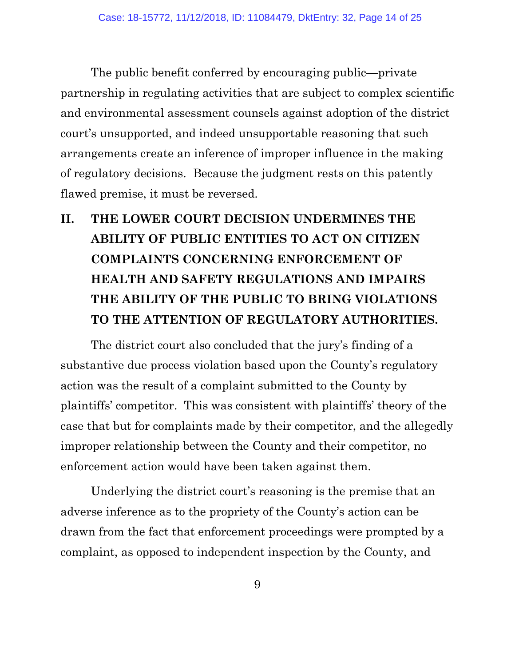The public benefit conferred by encouraging public—private partnership in regulating activities that are subject to complex scientific and environmental assessment counsels against adoption of the district court's unsupported, and indeed unsupportable reasoning that such arrangements create an inference of improper influence in the making of regulatory decisions. Because the judgment rests on this patently flawed premise, it must be reversed.

# <span id="page-13-0"></span>**II. THE LOWER COURT DECISION UNDERMINES THE ABILITY OF PUBLIC ENTITIES TO ACT ON CITIZEN COMPLAINTS CONCERNING ENFORCEMENT OF HEALTH AND SAFETY REGULATIONS AND IMPAIRS THE ABILITY OF THE PUBLIC TO BRING VIOLATIONS TO THE ATTENTION OF REGULATORY AUTHORITIES.**

The district court also concluded that the jury's finding of a substantive due process violation based upon the County's regulatory action was the result of a complaint submitted to the County by plaintiffs' competitor. This was consistent with plaintiffs' theory of the case that but for complaints made by their competitor, and the allegedly improper relationship between the County and their competitor, no enforcement action would have been taken against them.

Underlying the district court's reasoning is the premise that an adverse inference as to the propriety of the County's action can be drawn from the fact that enforcement proceedings were prompted by a complaint, as opposed to independent inspection by the County, and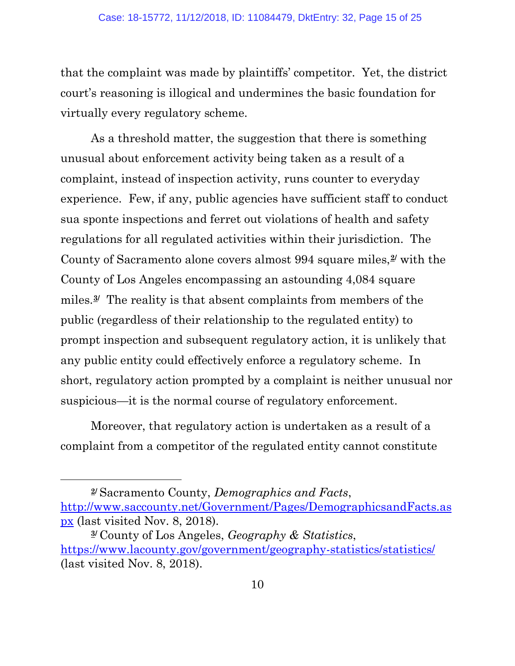that the complaint was made by plaintiffs' competitor. Yet, the district court's reasoning is illogical and undermines the basic foundation for virtually every regulatory scheme.

As a threshold matter, the suggestion that there is something unusual about enforcement activity being taken as a result of a complaint, instead of inspection activity, runs counter to everyday experience. Few, if any, public agencies have sufficient staff to conduct sua sponte inspections and ferret out violations of health and safety regulations for all regulated activities within their jurisdiction. The County of Sacramento alone covers almost 994 square miles,**[2](#page-14-0)/** with the County of Los Angeles encompassing an astounding 4,084 square miles.**[3](#page-14-1)/** The reality is that absent complaints from members of the public (regardless of their relationship to the regulated entity) to prompt inspection and subsequent regulatory action, it is unlikely that any public entity could effectively enforce a regulatory scheme. In short, regulatory action prompted by a complaint is neither unusual nor suspicious—it is the normal course of regulatory enforcement.

Moreover, that regulatory action is undertaken as a result of a complaint from a competitor of the regulated entity cannot constitute

l

<span id="page-14-0"></span>**<sup>2/</sup>** Sacramento County, *Demographics and Facts*, [http://www.saccounty.net/Government/Pages/DemographicsandFacts.as](http://www.saccounty.net/Government/Pages/DemographicsandFacts.aspx) [px](http://www.saccounty.net/Government/Pages/DemographicsandFacts.aspx) (last visited Nov. 8, 2018).

<span id="page-14-1"></span>**<sup>3/</sup>** County of Los Angeles, *Geography & Statistics*, <https://www.lacounty.gov/government/geography-statistics/statistics/> (last visited Nov. 8, 2018).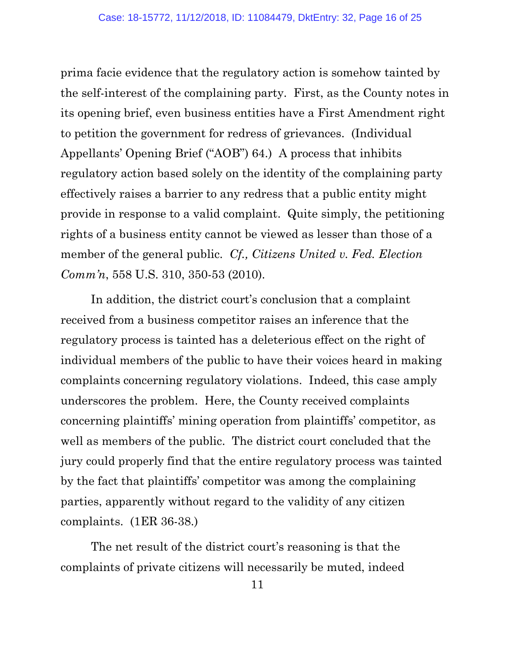prima facie evidence that the regulatory action is somehow tainted by the self-interest of the complaining party. First, as the County notes in its opening brief, even business entities have a First Amendment right to petition the government for redress of grievances. (Individual Appellants' Opening Brief ("AOB") 64.) A process that inhibits regulatory action based solely on the identity of the complaining party effectively raises a barrier to any redress that a public entity might provide in response to a valid complaint. Quite simply, the petitioning rights of a business entity cannot be viewed as lesser than those of a member of the general public. *Cf., Citizens United v. Fed. Election Comm'n*, 558 U.S. 310, 350-53 (2010).

In addition, the district court's conclusion that a complaint received from a business competitor raises an inference that the regulatory process is tainted has a deleterious effect on the right of individual members of the public to have their voices heard in making complaints concerning regulatory violations. Indeed, this case amply underscores the problem. Here, the County received complaints concerning plaintiffs' mining operation from plaintiffs' competitor, as well as members of the public. The district court concluded that the jury could properly find that the entire regulatory process was tainted by the fact that plaintiffs' competitor was among the complaining parties, apparently without regard to the validity of any citizen complaints. (1ER 36-38.)

The net result of the district court's reasoning is that the complaints of private citizens will necessarily be muted, indeed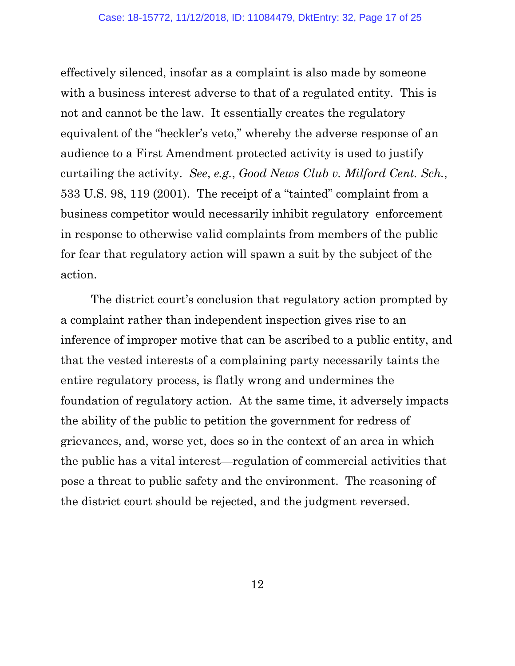effectively silenced, insofar as a complaint is also made by someone with a business interest adverse to that of a regulated entity. This is not and cannot be the law. It essentially creates the regulatory equivalent of the "heckler's veto," whereby the adverse response of an audience to a First Amendment protected activity is used to justify curtailing the activity. *See*, *e.g.*, *Good News Club v. Milford Cent. Sch.*, 533 U.S. 98, 119 (2001). The receipt of a "tainted" complaint from a business competitor would necessarily inhibit regulatory enforcement in response to otherwise valid complaints from members of the public for fear that regulatory action will spawn a suit by the subject of the action.

The district court's conclusion that regulatory action prompted by a complaint rather than independent inspection gives rise to an inference of improper motive that can be ascribed to a public entity, and that the vested interests of a complaining party necessarily taints the entire regulatory process, is flatly wrong and undermines the foundation of regulatory action. At the same time, it adversely impacts the ability of the public to petition the government for redress of grievances, and, worse yet, does so in the context of an area in which the public has a vital interest—regulation of commercial activities that pose a threat to public safety and the environment. The reasoning of the district court should be rejected, and the judgment reversed.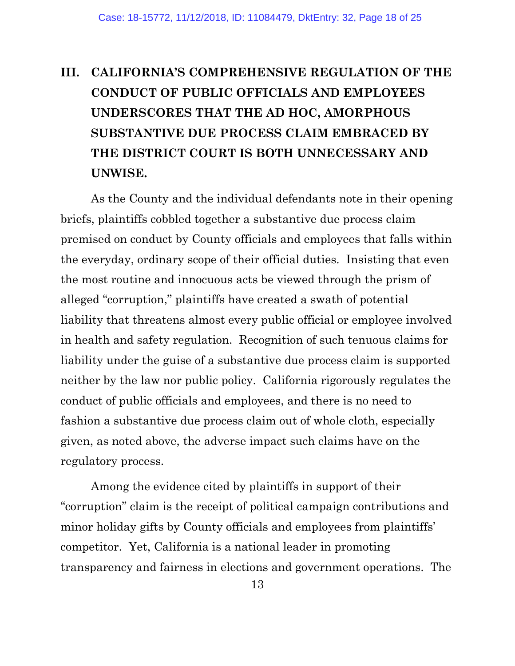# <span id="page-17-0"></span>**III. CALIFORNIA'S COMPREHENSIVE REGULATION OF THE CONDUCT OF PUBLIC OFFICIALS AND EMPLOYEES UNDERSCORES THAT THE AD HOC, AMORPHOUS SUBSTANTIVE DUE PROCESS CLAIM EMBRACED BY THE DISTRICT COURT IS BOTH UNNECESSARY AND UNWISE.**

As the County and the individual defendants note in their opening briefs, plaintiffs cobbled together a substantive due process claim premised on conduct by County officials and employees that falls within the everyday, ordinary scope of their official duties. Insisting that even the most routine and innocuous acts be viewed through the prism of alleged "corruption," plaintiffs have created a swath of potential liability that threatens almost every public official or employee involved in health and safety regulation. Recognition of such tenuous claims for liability under the guise of a substantive due process claim is supported neither by the law nor public policy. California rigorously regulates the conduct of public officials and employees, and there is no need to fashion a substantive due process claim out of whole cloth, especially given, as noted above, the adverse impact such claims have on the regulatory process.

Among the evidence cited by plaintiffs in support of their "corruption" claim is the receipt of political campaign contributions and minor holiday gifts by County officials and employees from plaintiffs' competitor. Yet, California is a national leader in promoting transparency and fairness in elections and government operations. The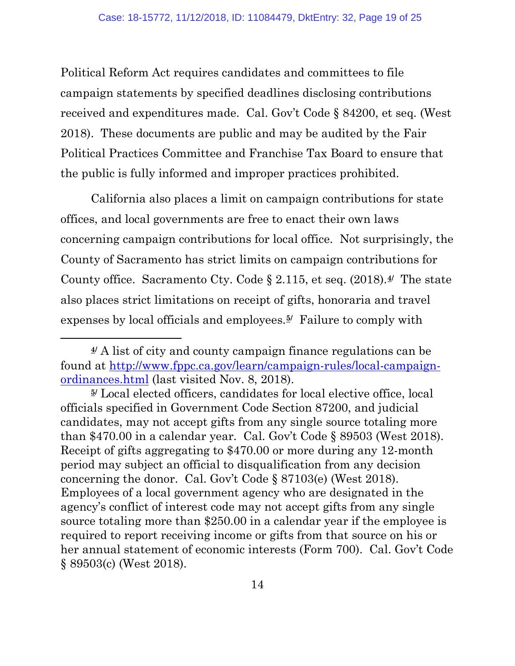Political Reform Act requires candidates and committees to file campaign statements by specified deadlines disclosing contributions received and expenditures made. Cal. Gov't Code § 84200, et seq. (West 2018). These documents are public and may be audited by the Fair Political Practices Committee and Franchise Tax Board to ensure that the public is fully informed and improper practices prohibited.

California also places a limit on campaign contributions for state offices, and local governments are free to enact their own laws concerning campaign contributions for local office. Not surprisingly, the County of Sacramento has strict limits on campaign contributions for County office. Sacramento Cty. Code § 2.115, et seq. (2018).**[4/](#page-18-0)** The state also places strict limitations on receipt of gifts, honoraria and travel expenses by local officials and employees.**[5](#page-18-1)/** Failure to comply with

 $\overline{a}$ 

<span id="page-18-0"></span>**<sup>4/</sup>** A list of city and county campaign finance regulations can be found at [http://www.fppc.ca.gov/learn/campaign-rules/local-campaign](http://www.fppc.ca.gov/learn/campaign-rules/local-campaign-ordinances.html)[ordinances.html](http://www.fppc.ca.gov/learn/campaign-rules/local-campaign-ordinances.html) (last visited Nov. 8, 2018).

<span id="page-18-1"></span>**<sup>5/</sup>** Local elected officers, candidates for local elective office, local officials specified in Government Code Section 87200, and judicial candidates, may not accept gifts from any single source totaling more than \$470.00 in a calendar year. Cal. Gov't Code § 89503 (West 2018). Receipt of gifts aggregating to \$470.00 or more during any 12-month period may subject an official to disqualification from any decision concerning the donor. Cal. Gov't Code § 87103(e) (West 2018). Employees of a local government agency who are designated in the agency's conflict of interest code may not accept gifts from any single source totaling more than \$250.00 in a calendar year if the employee is required to report receiving income or gifts from that source on his or her annual statement of economic interests (Form 700). Cal. Gov't Code § 89503(c) (West 2018).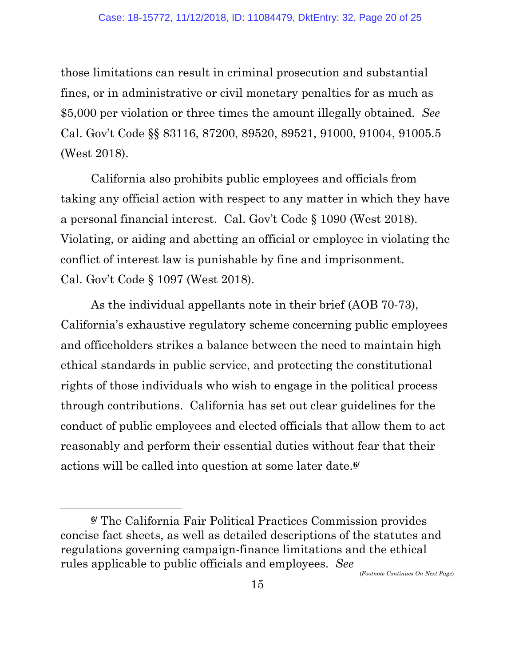those limitations can result in criminal prosecution and substantial fines, or in administrative or civil monetary penalties for as much as \$5,000 per violation or three times the amount illegally obtained. *See* Cal. Gov't Code §§ 83116, 87200, 89520, 89521, 91000, 91004, 91005.5 (West 2018).

California also prohibits public employees and officials from taking any official action with respect to any matter in which they have a personal financial interest. Cal. Gov't Code § 1090 (West 2018). Violating, or aiding and abetting an official or employee in violating the conflict of interest law is punishable by fine and imprisonment. Cal. Gov't Code § 1097 (West 2018).

As the individual appellants note in their brief (AOB 70-73), California's exhaustive regulatory scheme concerning public employees and officeholders strikes a balance between the need to maintain high ethical standards in public service, and protecting the constitutional rights of those individuals who wish to engage in the political process through contributions. California has set out clear guidelines for the conduct of public employees and elected officials that allow them to act reasonably and perform their essential duties without fear that their actions will be called into question at some later date.**[6](#page-19-0)/**

l

(*Footnote Continues On Next Page*)

<span id="page-19-0"></span>**<sup>6/</sup>** The California Fair Political Practices Commission provides concise fact sheets, as well as detailed descriptions of the statutes and regulations governing campaign-finance limitations and the ethical rules applicable to public officials and employees. *See*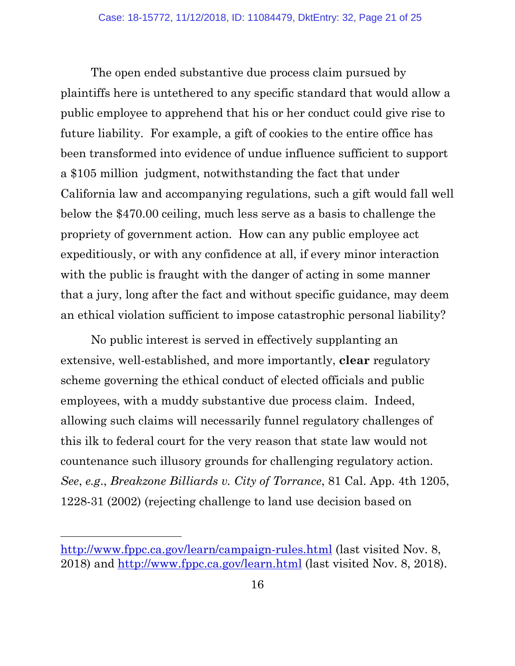The open ended substantive due process claim pursued by plaintiffs here is untethered to any specific standard that would allow a public employee to apprehend that his or her conduct could give rise to future liability. For example, a gift of cookies to the entire office has been transformed into evidence of undue influence sufficient to support a \$105 million judgment, notwithstanding the fact that under California law and accompanying regulations, such a gift would fall well below the \$470.00 ceiling, much less serve as a basis to challenge the propriety of government action. How can any public employee act expeditiously, or with any confidence at all, if every minor interaction with the public is fraught with the danger of acting in some manner that a jury, long after the fact and without specific guidance, may deem an ethical violation sufficient to impose catastrophic personal liability?

No public interest is served in effectively supplanting an extensive, well-established, and more importantly, **clear** regulatory scheme governing the ethical conduct of elected officials and public employees, with a muddy substantive due process claim. Indeed, allowing such claims will necessarily funnel regulatory challenges of this ilk to federal court for the very reason that state law would not countenance such illusory grounds for challenging regulatory action. *See*, *e.g*., *Breakzone Billiards v. City of Torrance*, 81 Cal. App. 4th 1205, 1228-31 (2002) (rejecting challenge to land use decision based on

 $\overline{a}$ 

<http://www.fppc.ca.gov/learn/campaign-rules.html> (last visited Nov. 8, 2018) and<http://www.fppc.ca.gov/learn.html> (last visited Nov. 8, 2018).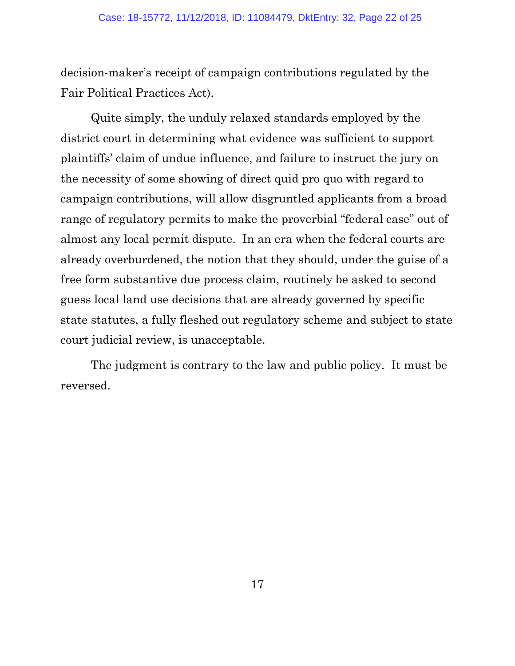decision-maker's receipt of campaign contributions regulated by the Fair Political Practices Act).

Quite simply, the unduly relaxed standards employed by the district court in determining what evidence was sufficient to support plaintiffs' claim of undue influence, and failure to instruct the jury on the necessity of some showing of direct quid pro quo with regard to campaign contributions, will allow disgruntled applicants from a broad range of regulatory permits to make the proverbial "federal case" out of almost any local permit dispute. In an era when the federal courts are already overburdened, the notion that they should, under the guise of a free form substantive due process claim, routinely be asked to second guess local land use decisions that are already governed by specific state statutes, a fully fleshed out regulatory scheme and subject to state court judicial review, is unacceptable.

The judgment is contrary to the law and public policy. It must be reversed.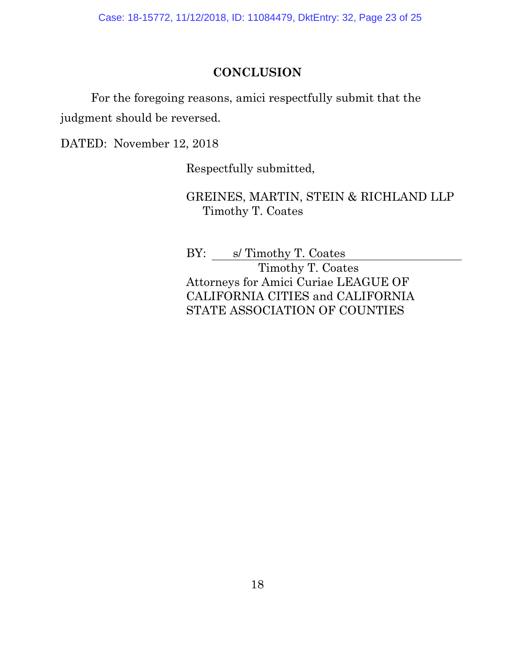Case: 18-15772, 11/12/2018, ID: 11084479, DktEntry: 32, Page 23 of 25

#### **CONCLUSION**

<span id="page-22-0"></span>For the foregoing reasons, amici respectfully submit that the judgment should be reversed.

DATED: November 12, 2018

Respectfully submitted,

GREINES, MARTIN, STEIN & RICHLAND LLP Timothy T. Coates

BY: s/ Timothy T. Coates Timothy T. Coates Attorneys for Amici Curiae LEAGUE OF CALIFORNIA CITIES and CALIFORNIA STATE ASSOCIATION OF COUNTIES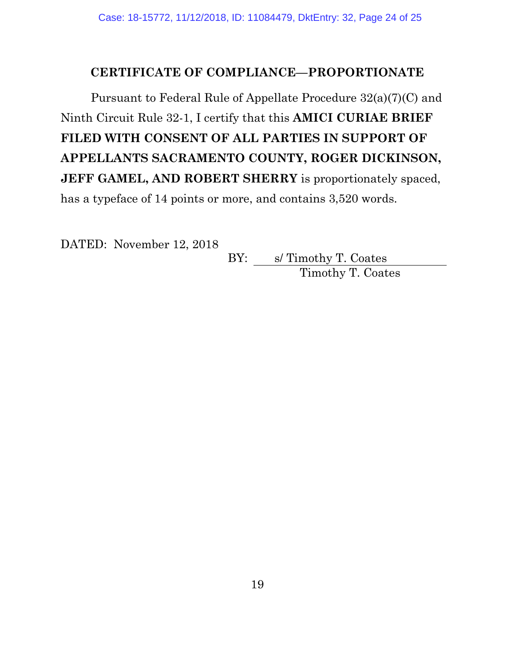### **CERTIFICATE OF COMPLIANCE—PROPORTIONATE**

<span id="page-23-0"></span>Pursuant to Federal Rule of Appellate Procedure 32(a)(7)(C) and Ninth Circuit Rule 32-1, I certify that this **AMICI CURIAE BRIEF FILED WITH CONSENT OF ALL PARTIES IN SUPPORT OF APPELLANTS SACRAMENTO COUNTY, ROGER DICKINSON, JEFF GAMEL, AND ROBERT SHERRY** is proportionately spaced, has a typeface of 14 points or more, and contains 3,520 words.

DATED: November 12, 2018

BY: s/ Timothy T. Coates Timothy T. Coates